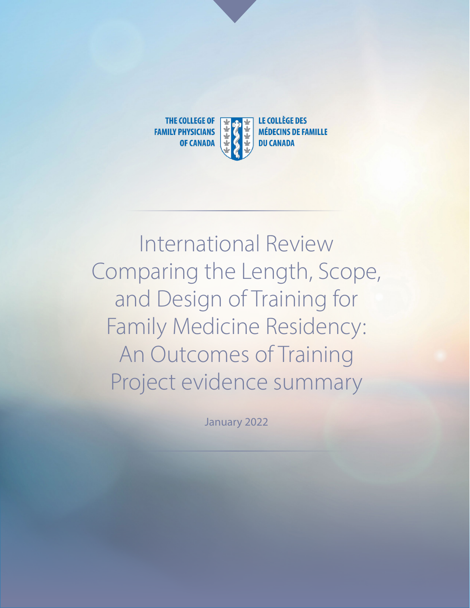

International Review Comparing the Length, Scope, and Design of Training for Family Medicine Residency: An Outcomes of Training Project evidence summary

January 2022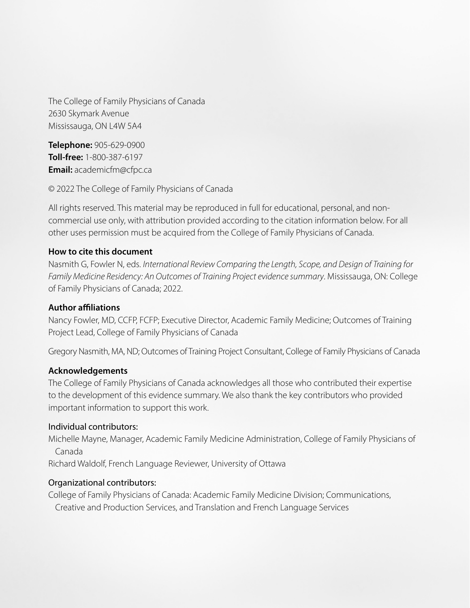The College of Family Physicians of Canada 2630 Skymark Avenue Mississauga, ON L4W 5A4

**Telephone:** 905-629-0900 **Toll-free:** 1-800-387-6197 **Email:** academicfm@cfpc.ca

© 2022 The College of Family Physicians of Canada

All rights reserved. This material may be reproduced in full for educational, personal, and noncommercial use only, with attribution provided according to the citation information below. For all other uses permission must be acquired from the College of Family Physicians of Canada.

#### **How to cite this document**

Nasmith G, Fowler N, eds. *International Review Comparing the Length, Scope, and Design of Training for Family Medicine Residency: An Outcomes of Training Project evidence summary*. Mississauga, ON: College of Family Physicians of Canada; 2022.

#### **Author affiliations**

Nancy Fowler, MD, CCFP, FCFP; Executive Director, Academic Family Medicine; Outcomes of Training Project Lead, College of Family Physicians of Canada

Gregory Nasmith, MA, ND; Outcomes of Training Project Consultant, College of Family Physicians of Canada

#### **Acknowledgements**

The College of Family Physicians of Canada acknowledges all those who contributed their expertise to the development of this evidence summary. We also thank the key contributors who provided important information to support this work.

#### Individual contributors:

Michelle Mayne, Manager, Academic Family Medicine Administration, College of Family Physicians of Canada

Richard Waldolf, French Language Reviewer, University of Ottawa

#### Organizational contributors:

College of Family Physicians of Canada: Academic Family Medicine Division; Communications, Creative and Production Services, and Translation and French Language Services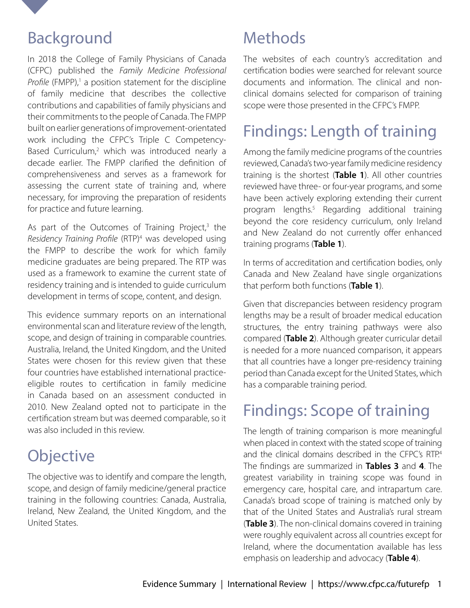<span id="page-2-0"></span>

### Background

In 2018 the College of Family Physicians of Canada (CFPC) published the *[Family Medicine Professional](https://www.cfpc.ca/CFPC/media/Resources/Education/FM-Professional-Profile.pdf)*  [Profile](https://www.cfpc.ca/CFPC/media/Resources/Education/FM-Professional-Profile.pdf) (FMPP),<sup>[1](#page-6-0)</sup> a position statement for the discipline of family medicine that describes the collective contributions and capabilities of family physicians and their commitments to the people of Canada. The FMPP built on earlier generations of improvement-orientated work including the CFPC's [Triple C Competency-](https://www.cfpc.ca/en/education-professional-development/educational-frameworks-and-reference-guides/triple-c-competency-based-curriculum)[Based Curriculum,](https://www.cfpc.ca/en/education-professional-development/educational-frameworks-and-reference-guides/triple-c-competency-based-curriculum)<sup>[2](#page-6-0)</sup> which was introduced nearly a decade earlier. The FMPP clarified the definition of comprehensiveness and serves as a framework for assessing the current state of training and, where necessary, for improving the preparation of residents for practice and future learning.

As part of [the](https://www.cfpc.ca/CFPC/media/Resources/Education/Residency-Training-Profile-ENG.pdf) Outcomes of Training Project, $3$  the [Residency Training Profile](https://www.cfpc.ca/CFPC/media/Resources/Education/Residency-Training-Profile-ENG.pdf) (RTP)<sup>[4](#page-6-0)</sup> was developed using the FMPP to describe the work for which family medicine graduates are being prepared. The RTP was used as a framework to examine the current state of residency training and is intended to guide curriculum development in terms of scope, content, and design.

This evidence summary reports on an international environmental scan and literature review of the length, scope, and design of training in comparable countries. Australia, Ireland, the United Kingdom, and the United States were chosen for this review given that these four countries have established international practiceeligible routes to certification in family medicine in Canada based on an assessment conducted in 2010. New Zealand opted not to participate in the certification stream but was deemed comparable, so it was also included in this review.

# **Objective**

The objective was to identify and compare the length, scope, and design of family medicine/general practice training in the following countries: Canada, Australia, Ireland, New Zealand, the United Kingdom, and the United States.

### **Methods**

The websites of each country's accreditation and certification bodies were searched for relevant source documents and information. The clinical and nonclinical domains selected for comparison of training scope were those presented in the CFPC's FMPP.

## Findings: Length of training

Among the family medicine programs of the countries reviewed, Canada's two-year family medicine residency training is the shortest (**Table 1**). All other countries reviewed have three- or four-year programs, and some have been actively exploring extending their current program lengths[.5](#page-6-0) Regarding additional training beyond the core residency curriculum, only Ireland and New Zealand do not currently offer enhanced training programs (**Table 1**).

In terms of accreditation and certification bodies, only Canada and New Zealand have single organizations that perform both functions (**Table 1**).

Given that discrepancies between residency program lengths may be a result of broader medical education structures, the entry training pathways were also compared (**Table 2**). Although greater curricular detail is needed for a more nuanced comparison, it appears that all countries have a longer pre-residency training period than Canada except for the United States, which has a comparable training period.

## Findings: Scope of training

The length of training comparison is more meaningful when placed in context with the stated scope of training and the clinical domains described in the CFPC's RTP.<sup>4</sup> The findings are summarized in **Tables 3** and **4**. The greatest variability in training scope was found in emergency care, hospital care, and intrapartum care. Canada's broad scope of training is matched only by that of the United States and Australia's rural stream (**Table 3**). The non-clinical domains covered in training were roughly equivalent across all countries except for Ireland, where the documentation available has less emphasis on leadership and advocacy (**Table 4**).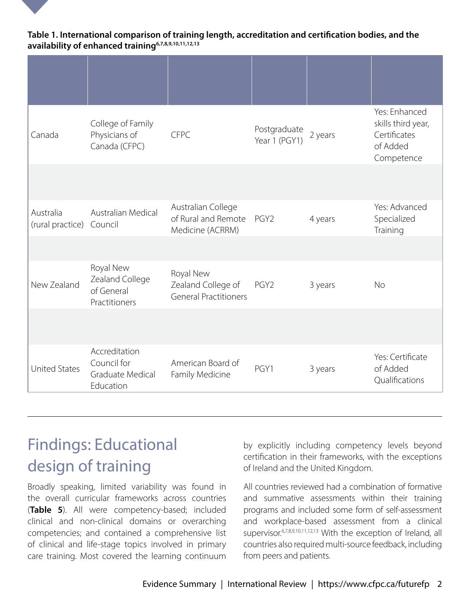#### <span id="page-3-0"></span>**Table 1. International comparison of training length, accreditation and certification bodies, and the availability of enhanced trainin[g6,7,8,9,10,11,12,13](#page-6-0)**

| Canada                        | College of Family<br>Physicians of<br>Canada (CFPC)           | <b>CFPC</b>                                                     | Postgraduate<br>Year 1 (PGY1) | 2 years | Yes: Enhanced<br>skills third year,<br>Certificates<br>of Added<br>Competence |
|-------------------------------|---------------------------------------------------------------|-----------------------------------------------------------------|-------------------------------|---------|-------------------------------------------------------------------------------|
|                               |                                                               |                                                                 |                               |         |                                                                               |
| Australia<br>(rural practice) | Australian Medical<br>Council                                 | Australian College<br>of Rural and Remote<br>Medicine (ACRRM)   | PGY <sub>2</sub>              | 4 years | Yes: Advanced<br>Specialized<br>Training                                      |
|                               |                                                               |                                                                 |                               |         |                                                                               |
| New Zealand                   | Royal New<br>Zealand College<br>of General<br>Practitioners   | Royal New<br>Zealand College of<br><b>General Practitioners</b> | PGY <sub>2</sub>              | 3 years | <b>No</b>                                                                     |
|                               |                                                               |                                                                 |                               |         |                                                                               |
| <b>United States</b>          | Accreditation<br>Council for<br>Graduate Medical<br>Education | American Board of<br>Family Medicine                            | PGY1                          | 3 years | Yes: Certificate<br>of Added<br>Qualifications                                |

### Findings: Educational design of training

Broadly speaking, limited variability was found in the overall curricular frameworks across countries (**Table 5**). All were competency-based; included clinical and non-clinical domains or overarching competencies; and contained a comprehensive list of clinical and life-stage topics involved in primary care training. Most covered the learning continuum

by explicitly including competency levels beyond certification in their frameworks, with the exceptions of Ireland and the United Kingdom.

All countries reviewed had a combination of formative and summative assessments within their training programs and included some form of self-assessment and workplace-based assessment from a clinical supervisor.6,7,8,9,10,11,12,13 With the exception of Ireland, all countries also required multi-source feedback, including from peers and patients.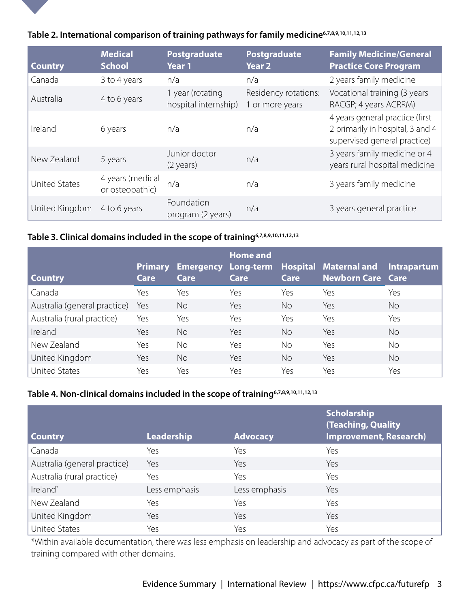

|  | Table 2. International comparison of training pathways for family medicine <sup>6,7,8,9,10,11,12,13</sup> |
|--|-----------------------------------------------------------------------------------------------------------|
|  |                                                                                                           |

| <b>Country</b>       | <b>Medical</b><br><b>School</b>     | Postgraduate<br>Year 1                   | Postgraduate<br>Year 2                  | <b>Family Medicine/General</b><br><b>Practice Core Program</b>                                      |
|----------------------|-------------------------------------|------------------------------------------|-----------------------------------------|-----------------------------------------------------------------------------------------------------|
| Canada               | 3 to 4 years                        | n/a                                      | n/a                                     | 2 years family medicine                                                                             |
| Australia            | 4 to 6 years                        | 1 year (rotating<br>hospital internship) | Residency rotations:<br>1 or more years | Vocational training (3 years<br>RACGP; 4 years ACRRM)                                               |
| Ireland              | 6 years                             | n/a                                      | n/a                                     | 4 years general practice (first<br>2 primarily in hospital, 3 and 4<br>supervised general practice) |
| New Zealand          | 5 years                             | Junior doctor<br>$(2 \text{ years})$     | n/a                                     | 3 years family medicine or 4<br>years rural hospital medicine                                       |
| <b>United States</b> | 4 years (medical<br>or osteopathic) | n/a                                      | n/a                                     | 3 years family medicine                                                                             |
| United Kingdom       | 4 to 6 years                        | Foundation<br>program (2 years)          | n/a                                     | 3 years general practice                                                                            |

#### **Table 3. Clinical domains included in the scope of training6,7,8,9,10,11,12,13**

| <b>Country</b>               | Primary<br>Care | Care      | <b>Home and</b><br>Care | Care      | Emergency Long-term Hospital Maternal and Intrapartum<br>Newborn Care Care |           |
|------------------------------|-----------------|-----------|-------------------------|-----------|----------------------------------------------------------------------------|-----------|
| Canada                       | Yes             | Yes       | Yes                     | Yes       | Yes                                                                        | Yes       |
| Australia (general practice) | Yes             | <b>No</b> | Yes                     | <b>No</b> | Yes                                                                        | <b>No</b> |
| Australia (rural practice)   | Yes             | Yes       | Yes                     | Yes       | Yes                                                                        | Yes       |
| Ireland                      | Yes             | <b>No</b> | Yes                     | <b>No</b> | Yes                                                                        | <b>No</b> |
| New Zealand                  | Yes             | No        | Yes                     | <b>No</b> | Yes                                                                        | <b>No</b> |
| United Kingdom               | Yes             | <b>No</b> | Yes                     | <b>No</b> | Yes                                                                        | <b>No</b> |
| <b>United States</b>         | Yes             | Yes       | Yes                     | Yes       | Yes                                                                        | Yes       |

#### **Table 4. Non-clinical domains included in the scope of training6,7,8,9,10,11,12,13**

| <b>Country</b>               | <b>Leadership</b> | <b>Advocacy</b> | <b>Scholarship</b><br>(Teaching, Quality<br><b>Improvement, Research)</b> |
|------------------------------|-------------------|-----------------|---------------------------------------------------------------------------|
| Canada                       | Yes               | Yes             | Yes                                                                       |
| Australia (general practice) | Yes               | Yes             | Yes                                                                       |
| Australia (rural practice)   | Yes               | Yes             | Yes                                                                       |
| Ireland*                     | Less emphasis     | Less emphasis   | Yes                                                                       |
| New Zealand                  | Yes               | Yes             | Yes                                                                       |
| United Kingdom               | Yes               | Yes             | Yes                                                                       |
| <b>United States</b>         | Yes               | Yes             | Yes                                                                       |

\*Within available documentation, there was less emphasis on leadership and advocacy as part of the scope of training compared with other domains.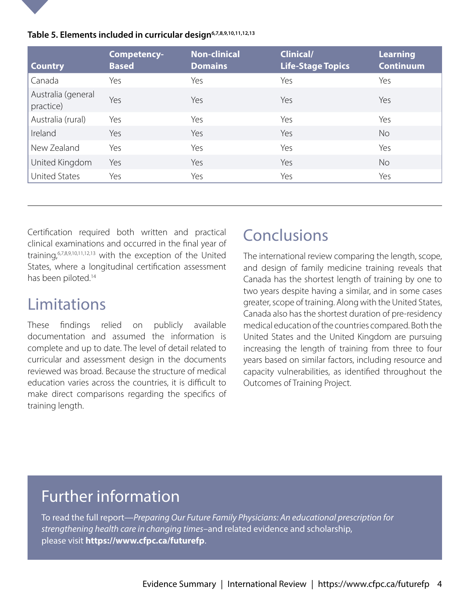

| Table 5. Elements included in curricular design <sup>6,7,8,9,10,11,12,13</sup> |  |
|--------------------------------------------------------------------------------|--|
|--------------------------------------------------------------------------------|--|

| <b>Country</b>                  | Competency-<br><b>Based</b> | <b>Non-clinical</b><br><b>Domains</b> | <b>Clinical/</b><br>Life-Stage Topics | <b>Learning</b><br><b>Continuum</b> |
|---------------------------------|-----------------------------|---------------------------------------|---------------------------------------|-------------------------------------|
| Canada                          | Yes                         | Yes                                   | Yes                                   | Yes                                 |
| Australia (general<br>practice) | Yes                         | Yes                                   | Yes                                   | Yes                                 |
| Australia (rural)               | Yes                         | Yes                                   | Yes                                   | Yes                                 |
| Ireland                         | Yes                         | Yes                                   | Yes                                   | <b>No</b>                           |
| New Zealand                     | Yes                         | Yes                                   | Yes                                   | Yes                                 |
| United Kingdom                  | Yes                         | Yes                                   | Yes                                   | <b>No</b>                           |
| United States                   | Yes                         | Yes                                   | Yes                                   | Yes                                 |

Certification required both written and practical clinical examinations and occurred in the final year of training,6,7,8,9,10,11,12,13 with the exception of the United States, where a longitudinal certification assessment has been piloted.<sup>14</sup>

### Limitations

These findings relied on publicly available documentation and assumed the information is complete and up to date. The level of detail related to curricular and assessment design in the documents reviewed was broad. Because the structure of medical education varies across the countries, it is difficult to make direct comparisons regarding the specifics of training length.

### **Conclusions**

The international review comparing the length, scope, and design of family medicine training reveals that Canada has the shortest length of training by one to two years despite having a similar, and in some cases greater, scope of training. Along with the United States, Canada also has the shortest duration of pre-residency medical education of the countries compared. Both the United States and the United Kingdom are pursuing increasing the length of training from three to four years based on similar factors, including resource and capacity vulnerabilities, as identified throughout the Outcomes of Training Project.

#### Further information

To read the full report—*Preparing Our Future Family Physicians: An educational prescription for strengthening health care in changing times*–and related evidence and scholarship, please visit **https://www.cfpc.ca/futurefp**.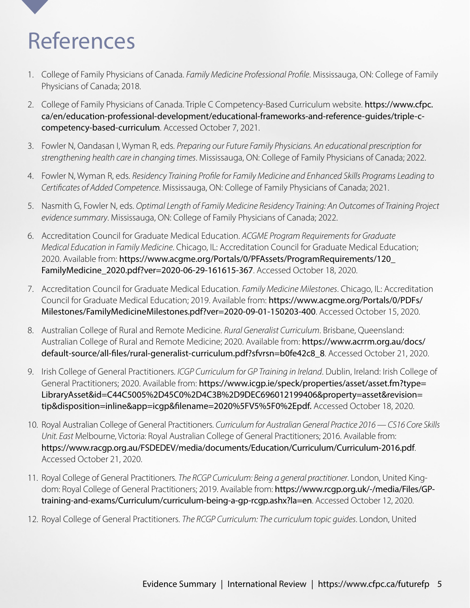# <span id="page-6-0"></span>References

- 1. [Co](#page-2-0)llege of Family Physicians of Canada. *Family Medicine Professional Profile*. Mississauga, ON: College of Family Physicians of Canada; 2018.
- 2. [Co](#page-2-0)llege of Family Physicians of Canada. Triple C Competency-Based Curriculum website. [https://www.cfpc.](https://www.cfpc.ca/en/education-professional-development/educational-frameworks-and-reference-guides/triple-c-competency-based-curriculum) [ca/en/education-professional-development/educational-frameworks-and-reference-guides/triple-c](https://www.cfpc.ca/en/education-professional-development/educational-frameworks-and-reference-guides/triple-c-competency-based-curriculum)[competency-based-curriculum](https://www.cfpc.ca/en/education-professional-development/educational-frameworks-and-reference-guides/triple-c-competency-based-curriculum). Accessed October 7, 2021.
- 3. [F](#page-2-0)owler N, Oandasan I, Wyman R, eds. *Preparing our Future Family Physicians. An educational prescription for strengthening health care in changing times*. Mississauga, ON: College of Family Physicians of Canada; 2022.
- 4. [F](#page-2-0)owler N, Wyman R, eds. *Residency Training Profile for Family Medicine and Enhanced Skills Programs Leading to Certificates of Added Competence*. Mississauga, ON: College of Family Physicians of Canada; 2021.
- 5. [Na](#page-2-0)smith G, Fowler N, eds. *Optimal Length of Family Medicine Residency Training: An Outcomes of Training Project evidence summary*. Mississauga, ON: College of Family Physicians of Canada; 2022.
- 6. [Ac](#page-3-0)creditation Council for Graduate Medical Education. *ACGME Program Requirements for Graduate Medical Education in Family Medicine*. Chicago, IL: Accreditation Council for Graduate Medical Education; 2020. Available from: [https://www.acgme.org/Portals/0/PFAssets/ProgramRequirements/120\\_](https://www.acgme.org/Portals/0/PFAssets/ProgramRequirements/120_FamilyMedicine_2020.pdf?ver=2020-06-29-161615-367) [FamilyMedicine\\_2020.pdf?ver=2020-06-29-161615-367](https://www.acgme.org/Portals/0/PFAssets/ProgramRequirements/120_FamilyMedicine_2020.pdf?ver=2020-06-29-161615-367). Accessed October 18, 2020.
- 7. [Ac](#page-3-0)creditation Council for Graduate Medical Education. *Family Medicine Milestones*. Chicago, IL: Accreditation Council for Graduate Medical Education; 2019. Available from: [https://www.acgme.org/Portals/0/PDFs/](https://www.acgme.org/Portals/0/PDFs/Milestones/FamilyMedicineMilestones.pdf?ver=2020-09-01-150203-400) [Milestones/FamilyMedicineMilestones.pdf?ver=2020-09-01-150203-400](https://www.acgme.org/Portals/0/PDFs/Milestones/FamilyMedicineMilestones.pdf?ver=2020-09-01-150203-400). Accessed October 15, 2020.
- 8. [Au](#page-3-0)stralian College of Rural and Remote Medicine. *Rural Generalist Curriculum*. Brisbane, Queensland: Australian College of Rural and Remote Medicine; 2020. Available from: [https://www.acrrm.org.au/docs/](https://www.acrrm.org.au/docs/default-source/all-files/rural-generalist-curriculum.pdf?sfvrsn=b0fe42c8_8) [default-source/all-files/rural-generalist-curriculum.pdf?sfvrsn=b0fe42c8\\_8](https://www.acrrm.org.au/docs/default-source/all-files/rural-generalist-curriculum.pdf?sfvrsn=b0fe42c8_8). Accessed October 21, 2020.
- 9. [Ir](#page-3-0)ish College of General Practitioners. *ICGP Curriculum for GP Training in Ireland*. Dublin, Ireland: Irish College of General Practitioners; 2020. Available from: [https://www.icgp.ie/speck/properties/asset/asset.fm?type=](https://www.icgp.ie/speck/properties/asset/asset.cfm?type=LibraryAsset&id=C44C5005%2D45C0%2D4C3B%2D9DEC696012199406&property=asset&revision=tip&disposition=inline&app=icgp&filename=2020%5FV5%5F0%2Epdf) [LibraryAsset&id=C44C5005%2D45C0%2D4C3B%2D9DEC696012199406&property=asset&revision=](https://www.icgp.ie/speck/properties/asset/asset.cfm?type=LibraryAsset&id=C44C5005%2D45C0%2D4C3B%2D9DEC696012199406&property=asset&revision=tip&disposition=inline&app=icgp&filename=2020%5FV5%5F0%2Epdf) [tip&disposition=inline&app=icgp&filename=2020%5FV5%5F0%2Epdf.](https://www.icgp.ie/speck/properties/asset/asset.cfm?type=LibraryAsset&id=C44C5005%2D45C0%2D4C3B%2D9DEC696012199406&property=asset&revision=tip&disposition=inline&app=icgp&filename=2020%5FV5%5F0%2Epdf) Accessed October 18, 2020.
- 10. [R](#page-3-0)oyal Australian College of General Practitioners. *Curriculum for Australian General Practice 2016 CS16 Core Skills Unit. East* Melbourne, Victoria: Royal Australian College of General Practitioners; 2016. Available from: <https://www.racgp.org.au/FSDEDEV/media/documents/Education/Curriculum/Curriculum-2016.pdf>. Accessed October 21, 2020.
- 11. [R](#page-3-0)oyal College of General Practitioners. *The RCGP Curriculum: Being a general practitioner*. London, United Kingdom: Royal College of General Practitioners; 2019. Available from: [https://www.rcgp.org.uk/-/media/Files/GP](https://www.rcgp.org.uk/-/media/Files/GP-training-and-exams/Curriculum/curriculum-being-a-gp-rcgp.ashx?la=en)[training-and-exams/Curriculum/curriculum-being-a-gp-rcgp.ashx?la=en](https://www.rcgp.org.uk/-/media/Files/GP-training-and-exams/Curriculum/curriculum-being-a-gp-rcgp.ashx?la=en). Accessed October 12, 2020.
- 12. [R](#page-3-0)oyal College of General Practitioners. *The RCGP Curriculum: The curriculum topic guides*. London, United